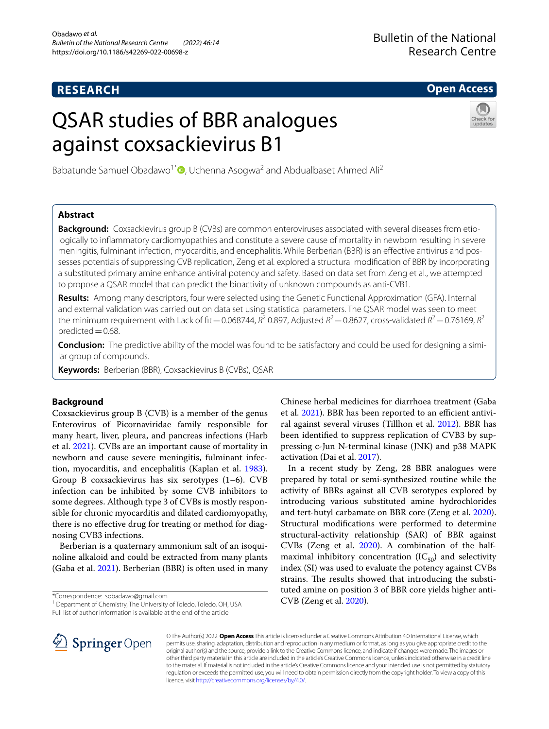## **RESEARCH**

**Open Access**

# QSAR studies of BBR analogues against coxsackievirus B1



Babatunde Samuel Obadawo<sup>1[\\*](http://orcid.org/0000-0001-7292-6564)</sup><sup> $\bullet$ </sup>, Uchenna Asogwa<sup>2</sup> and Abdualbaset Ahmed Ali<sup>2</sup>

## **Abstract**

**Background:** Coxsackievirus group B (CVBs) are common enteroviruses associated with several diseases from etiologically to infammatory cardiomyopathies and constitute a severe cause of mortality in newborn resulting in severe meningitis, fulminant infection, myocarditis, and encephalitis. While Berberian (BBR) is an efective antivirus and possesses potentials of suppressing CVB replication, Zeng et al. explored a structural modifcation of BBR by incorporating a substituted primary amine enhance antiviral potency and safety. Based on data set from Zeng et al., we attempted to propose a QSAR model that can predict the bioactivity of unknown compounds as anti-CVB1.

**Results:** Among many descriptors, four were selected using the Genetic Functional Approximation (GFA). Internal and external validation was carried out on data set using statistical parameters. The QSAR model was seen to meet the minimum requirement with Lack of fit = 0.068744,  $R^2$  0.897, Adjusted  $R^2$  = 0.8627, cross-validated  $R^2$  = 0.76169,  $R^2$ predicted $=0.68$ .

**Conclusion:** The predictive ability of the model was found to be satisfactory and could be used for designing a similar group of compounds.

**Keywords:** Berberian (BBR), Coxsackievirus B (CVBs), QSAR

### **Background**

Coxsackievirus group B (CVB) is a member of the genus Enterovirus of Picornaviridae family responsible for many heart, liver, pleura, and pancreas infections (Harb et al. [2021\)](#page-7-0). CVBs are an important cause of mortality in newborn and cause severe meningitis, fulminant infection, myocarditis, and encephalitis (Kaplan et al. [1983](#page-7-1)). Group B coxsackievirus has six serotypes (1–6). CVB infection can be inhibited by some CVB inhibitors to some degrees. Although type 3 of CVBs is mostly responsible for chronic myocarditis and dilated cardiomyopathy, there is no efective drug for treating or method for diagnosing CVB3 infections.

Berberian is a quaternary ammonium salt of an isoquinoline alkaloid and could be extracted from many plants (Gaba et al. [2021](#page-7-2)). Berberian (BBR) is often used in many

\*Correspondence: sobadawo@gmail.com

<sup>1</sup> Department of Chemistry, The University of Toledo, Toledo, OH, USA

Full list of author information is available at the end of the article

Chinese herbal medicines for diarrhoea treatment (Gaba et al. [2021\)](#page-7-2). BBR has been reported to an efficient antiviral against several viruses (Tillhon et al. [2012\)](#page-7-3). BBR has been identifed to suppress replication of CVB3 by suppressing c-Jun N-terminal kinase (JNK) and p38 MAPK activation (Dai et al. [2017\)](#page-7-4).

In a recent study by Zeng, 28 BBR analogues were prepared by total or semi-synthesized routine while the activity of BBRs against all CVB serotypes explored by introducing various substituted amine hydrochlorides and tert-butyl carbamate on BBR core (Zeng et al. [2020](#page-7-5)). Structural modifcations were performed to determine structural-activity relationship (SAR) of BBR against CVBs (Zeng et al. [2020](#page-7-5)). A combination of the halfmaximal inhibitory concentration  $(IC_{50})$  and selectivity index (SI) was used to evaluate the potency against CVBs strains. The results showed that introducing the substituted amine on position 3 of BBR core yields higher anti-CVB (Zeng et al. [2020\)](#page-7-5).



© The Author(s) 2022. **Open Access** This article is licensed under a Creative Commons Attribution 4.0 International License, which permits use, sharing, adaptation, distribution and reproduction in any medium or format, as long as you give appropriate credit to the original author(s) and the source, provide a link to the Creative Commons licence, and indicate if changes were made. The images or other third party material in this article are included in the article's Creative Commons licence, unless indicated otherwise in a credit line to the material. If material is not included in the article's Creative Commons licence and your intended use is not permitted by statutory regulation or exceeds the permitted use, you will need to obtain permission directly from the copyright holder. To view a copy of this licence, visit [http://creativecommons.org/licenses/by/4.0/.](http://creativecommons.org/licenses/by/4.0/)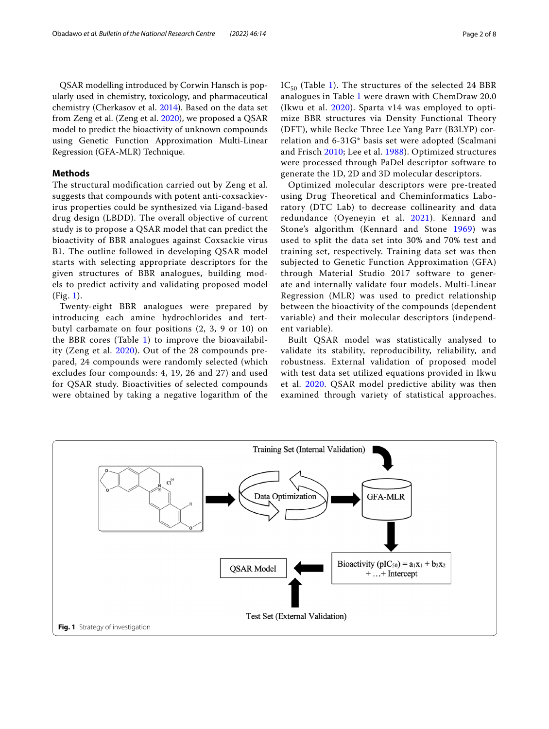QSAR modelling introduced by Corwin Hansch is popularly used in chemistry, toxicology, and pharmaceutical chemistry (Cherkasov et al. [2014\)](#page-7-6). Based on the data set from Zeng et al. (Zeng et al. [2020](#page-7-5)), we proposed a QSAR model to predict the bioactivity of unknown compounds using Genetic Function Approximation Multi-Linear Regression (GFA-MLR) Technique.

#### **Methods**

The structural modification carried out by Zeng et al. suggests that compounds with potent anti-coxsackievirus properties could be synthesized via Ligand-based drug design (LBDD). The overall objective of current study is to propose a QSAR model that can predict the bioactivity of BBR analogues against Coxsackie virus B1. The outline followed in developing QSAR model starts with selecting appropriate descriptors for the given structures of BBR analogues, building models to predict activity and validating proposed model (Fig. [1\)](#page-1-0).

Twenty-eight BBR analogues were prepared by introducing each amine hydrochlorides and tertbutyl carbamate on four positions (2, 3, 9 or 10) on the BBR cores (Table [1](#page-2-0)) to improve the bioavailability (Zeng et al. [2020](#page-7-5)). Out of the 28 compounds prepared, 24 compounds were randomly selected (which excludes four compounds: 4, 19, 26 and 27) and used for QSAR study. Bioactivities of selected compounds were obtained by taking a negative logarithm of the  $IC_{50}$  (Table [1\)](#page-2-0). The structures of the selected 24 BBR analogues in Table [1](#page-2-0) were drawn with ChemDraw 20.0 (Ikwu et al. [2020\)](#page-7-7). Sparta v14 was employed to optimize BBR structures via Density Functional Theory (DFT), while Becke Three Lee Yang Parr (B3LYP) correlation and 6-31G\* basis set were adopted (Scalmani and Frisch [2010](#page-7-8); Lee et al. [1988](#page-7-9)). Optimized structures were processed through PaDel descriptor software to generate the 1D, 2D and 3D molecular descriptors.

Optimized molecular descriptors were pre-treated using Drug Theoretical and Cheminformatics Laboratory (DTC Lab) to decrease collinearity and data redundance (Oyeneyin et al. [2021\)](#page-7-10). Kennard and Stone's algorithm (Kennard and Stone [1969\)](#page-7-11) was used to split the data set into 30% and 70% test and training set, respectively. Training data set was then subjected to Genetic Function Approximation (GFA) through Material Studio 2017 software to generate and internally validate four models. Multi-Linear Regression (MLR) was used to predict relationship between the bioactivity of the compounds (dependent variable) and their molecular descriptors (independent variable).

Built QSAR model was statistically analysed to validate its stability, reproducibility, reliability, and robustness. External validation of proposed model with test data set utilized equations provided in Ikwu et al. [2020.](#page-7-7) QSAR model predictive ability was then examined through variety of statistical approaches.

<span id="page-1-0"></span>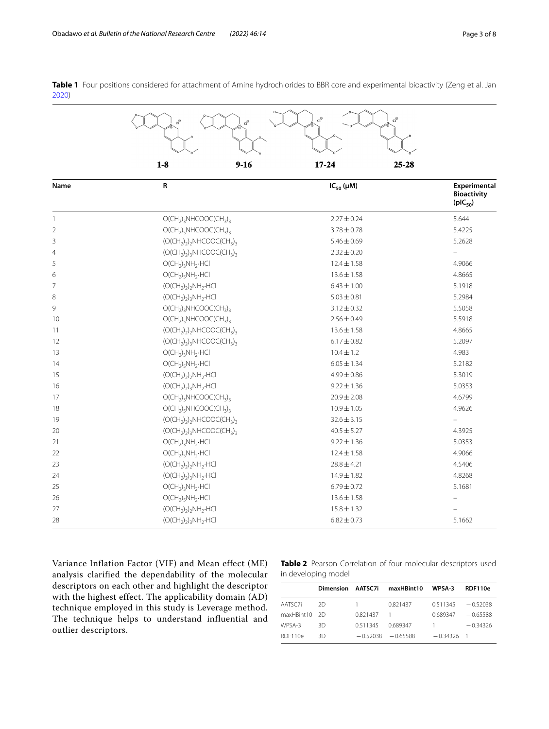<span id="page-2-0"></span>**Table 1** Four positions considered for attachment of Amine hydrochlorides to BBR core and experimental bioactivity (Zeng et al. Jan )

|                | $Cl^{\odot}$<br>$\mathrm{cl}^\odot$<br>$\mathrm{cl}^\odot$ |                    |                                                    |  |  |
|----------------|------------------------------------------------------------|--------------------|----------------------------------------------------|--|--|
|                | $1-8$<br>$9 - 16$                                          | $17 - 24$<br>25-28 |                                                    |  |  |
| Name           | R                                                          | $IC_{50}(\mu M)$   | Experimental<br><b>Bioactivity</b><br>$(pIC_{50})$ |  |  |
| 1              | $O(CH_2)_3NHCOOC(CH_3)_3$                                  | $2.27 \pm 0.24$    | 5.644                                              |  |  |
| $\overline{2}$ | $O(CH_2)_5$ NHCOOC(CH <sub>3</sub> ) <sub>3</sub>          | $3.78 \pm 0.78$    | 5.4225                                             |  |  |
| 3              | $(O(CH_2)_2)_2$ NHCOOC(CH <sub>3</sub> ) <sub>3</sub>      | $5.46 \pm 0.69$    | 5.2628                                             |  |  |
| $\overline{4}$ | $(O(CH2)2)3NHCOOC(CH3)3$                                   | $2.32 \pm 0.20$    |                                                    |  |  |
| 5              | $O(CH_2)_3NH_2$ -HCl                                       | $12.4 \pm 1.58$    | 4.9066                                             |  |  |
| 6              | $O(CH_2)_5NH_2$ ·HCl                                       | $13.6 \pm 1.58$    | 4.8665                                             |  |  |
| $\overline{7}$ | $(O(CH_2)_2)$ <sub>2</sub> NH <sub>2</sub> ·HCl            | $6.43 \pm 1.00$    | 5.1918                                             |  |  |
| 8              | $(O(CH_2)_2)_3NH_2$ -HCl                                   | $5.03 \pm 0.81$    | 5.2984                                             |  |  |
| 9              | $O(CH_2)_3NHCOOC(CH_3)_3$                                  | $3.12 \pm 0.32$    | 5.5058                                             |  |  |
| 10             | $O(CH_2)_5$ NHCOOC(CH <sub>3</sub> ) <sub>3</sub>          | $2.56 \pm 0.49$    | 5.5918                                             |  |  |
| 11             | $(O(CH2)2)2NHCOOC(CH3)3$                                   | $13.6 \pm 1.58$    | 4.8665                                             |  |  |
| 12             | $(O(CH_2)_2)_3NHCOOC(CH_3)_3$                              | $6.17 \pm 0.82$    | 5.2097                                             |  |  |
| 13             | $O(CH_2)_3NH_2$ .HCl                                       | $10.4 \pm 1.2$     | 4.983                                              |  |  |
| 14             | $O(CH_2)_5NH_2$ -HCl                                       | $6.05 \pm 1.34$    | 5.2182                                             |  |  |
| 15             | $(O(CH_2)_2)_{2}NH_2$ -HCl                                 | $4.99 \pm 0.86$    | 5.3019                                             |  |  |
| 16             | $(O(CH_2)_2)_3NH_2$ -HCl                                   | $9.22 \pm 1.36$    | 5.0353                                             |  |  |
| 17             | $O(CH_2)_3NHCOOC(CH_3)_3$                                  | $20.9 \pm 2.08$    | 4.6799                                             |  |  |
| 18             | $O(CH2)5NHCOOC(CH3)3$                                      | $10.9 \pm 1.05$    | 4.9626                                             |  |  |
| 19             | $(O(CH2)2)2NHCOOC(CH3)3$                                   | $32.6 \pm 3.15$    | $\equiv$                                           |  |  |
| 20             | $(O(CH_2)_2)_3$ NHCOOC(CH <sub>3</sub> ) <sub>3</sub>      | $40.5 \pm 5.27$    | 4.3925                                             |  |  |
| 21             | $O(CH_2)_3NH_2$ -HCl                                       | $9.22 \pm 1.36$    | 5.0353                                             |  |  |
| 22             | $O(CH_2)_5NH_2$ -HCl                                       | $12.4 \pm 1.58$    | 4.9066                                             |  |  |
| 23             | $(O(CH_2)_2)$ <sub>2</sub> NH <sub>2</sub> ·HCl            | $28.8 \pm 4.21$    | 4.5406                                             |  |  |
| 24             | $(O(CH_2)_2)_3NH_2 \cdot HCl$                              | $14.9 \pm 1.82$    | 4.8268                                             |  |  |
| 25             | $O(CH_2)_3NH_2$ .HCl                                       | $6.79 \pm 0.72$    | 5.1681                                             |  |  |
| 26             | $O(CH_2)_5NH_2$ -HCl                                       | $13.6 \pm 1.58$    |                                                    |  |  |
| 27             | $(O(CH_2)_2)$ <sub>2</sub> NH <sub>2</sub> ·HCl            | $15.8 \pm 1.32$    |                                                    |  |  |
| 28             | $(O(CH_2)_2)_3NH_2$ -HCl                                   | $6.82 \pm 0.73$    | 5.1662                                             |  |  |

Variance Inflation Factor (VIF) and Mean effect (ME) analysis clarified the dependability of the molecular descriptors on each other and highlight the descriptor with the highest effect. The applicability domain (AD) technique employed in this study is Leverage method. The technique helps to understand influential and outlier descriptors.

<span id="page-2-1"></span>**Table 2** Pearson Correlation of four molecular descriptors used in developing model

|               | Dimension AATSC7i |                | maxHBint10           | WPSA-3               | RDF110e    |
|---------------|-------------------|----------------|----------------------|----------------------|------------|
|               |                   |                |                      |                      |            |
| AATSC7i       | -2D               | $\overline{1}$ | 0.821437             | $0.511345 - 0.52038$ |            |
| maxHBint10 2D |                   | 0.821437       | $\overline{1}$       | 0.689347             | $-0.65588$ |
| WPSA-3        | 3D.               | 0.511345       | 0.689347             | $\overline{1}$       | $-0.34326$ |
| RDF110e       | 3D.               |                | $-0.52038 - 0.65588$ | $-0.34326$           |            |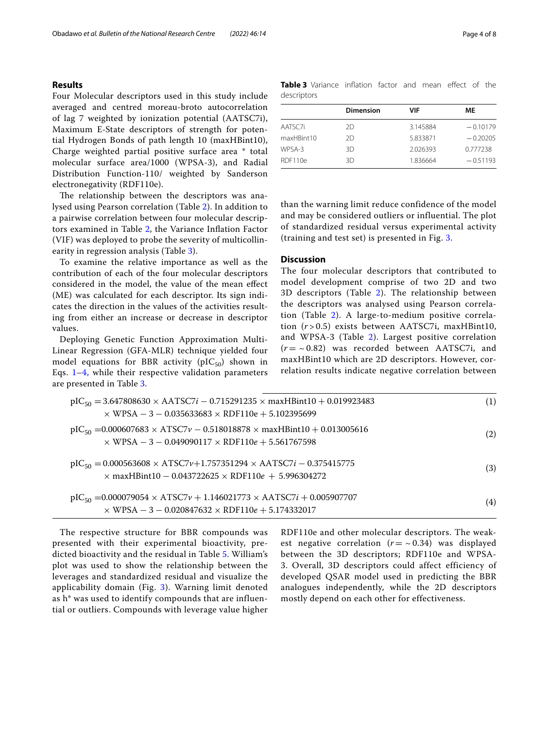#### **Results**

Four Molecular descriptors used in this study include averaged and centred moreau-broto autocorrelation of lag 7 weighted by ionization potential (AATSC7i), Maximum E-State descriptors of strength for potential Hydrogen Bonds of path length 10 (maxHBint10), Charge weighted partial positive surface area \* total molecular surface area/1000 (WPSA-3), and Radial Distribution Function-110/ weighted by Sanderson electronegativity (RDF110e).

The relationship between the descriptors was analysed using Pearson correlation (Table [2\)](#page-2-1). In addition to a pairwise correlation between four molecular descriptors examined in Table [2,](#page-2-1) the Variance Infation Factor (VIF) was deployed to probe the severity of multicollinearity in regression analysis (Table [3](#page-3-0)).

To examine the relative importance as well as the contribution of each of the four molecular descriptors considered in the model, the value of the mean efect (ME) was calculated for each descriptor. Its sign indicates the direction in the values of the activities resulting from either an increase or decrease in descriptor values.

Deploying Genetic Function Approximation Multi-Linear Regression (GFA-MLR) technique yielded four model equations for BBR activity ( $pIC_{50}$ ) shown in Eqs.  $1-4$  $1-4$ , while their respective validation parameters are presented in Table [3](#page-3-0).

<span id="page-3-0"></span>**Table 3** Variance inflation factor and mean effect of the descriptors

|            | <b>Dimension</b> | VIF      | МE         |
|------------|------------------|----------|------------|
| AATSC7i    | 2D               | 3.145884 | $-0.10179$ |
| maxHBint10 | 2D               | 5.833871 | $-0.20205$ |
| WPSA-3     | 3D               | 2.026393 | 0.777238   |
| RDF110e    | ЗD               | 1.836664 | $-0.51193$ |

than the warning limit reduce confidence of the model and may be considered outliers or influential. The plot of standardized residual versus experimental activity (training and test set) is presented in Fig. [3.](#page-4-0)

#### **Discussion**

<span id="page-3-1"></span>The four molecular descriptors that contributed to model development comprise of two 2D and two 3D descriptors (Table [2](#page-2-1)). The relationship between the descriptors was analysed using Pearson correlation (Table [2](#page-2-1)). A large-to-medium positive correlation (*r* > 0.5) exists between AATSC7i, maxHBint10, and WPSA-3 (Table [2](#page-2-1)). Largest positive correlation  $(r = \sim 0.82)$  was recorded between AATSC7i, and maxHBint10 which are 2D descriptors. However, correlation results indicate negative correlation between

| $pIC_{50} = 3.647808630 \times AATSC7i - 0.715291235 \times maxHBint10 + 0.019923483$<br>$\times$ WPSA - 3 - 0.035633683 $\times$ RDF110e + 5.102395699 | (1) |
|---------------------------------------------------------------------------------------------------------------------------------------------------------|-----|
| $pIC_{50} = 0.000607683 \times ATSC7v - 0.518018878 \times maxHBint10 + 0.013005616$<br>$\times$ WPSA - 3 - 0.049090117 $\times$ RDF110e + 5.561767598  | (2) |
| $pIC_{50} = 0.000563608 \times ATSC7v+1.757351294 \times AATSC7i - 0.375415775$<br>$\times$ maxHBint10 - 0.043722625 $\times$ RDF110e + 5.996304272     | (3) |
| $pIC_{50} = 0.000079054 \times ATSC7v + 1.146021773 \times AATSC7i + 0.005907707$<br>$\times$ WPSA - 3 - 0.020847632 $\times$ RDF110e + 5.174332017     | (4) |

The respective structure for BBR compounds was presented with their experimental bioactivity, predicted bioactivity and the residual in Table [5](#page-6-0). William's plot was used to show the relationship between the leverages and standardized residual and visualize the applicability domain (Fig. [3](#page-4-0)). Warning limit denoted as h\* was used to identify compounds that are influential or outliers. Compounds with leverage value higher <span id="page-3-2"></span>RDF110e and other molecular descriptors. The weakest negative correlation  $(r = \sim 0.34)$  was displayed between the 3D descriptors; RDF110e and WPSA-3. Overall, 3D descriptors could affect efficiency of developed QSAR model used in predicting the BBR analogues independently, while the 2D descriptors mostly depend on each other for effectiveness.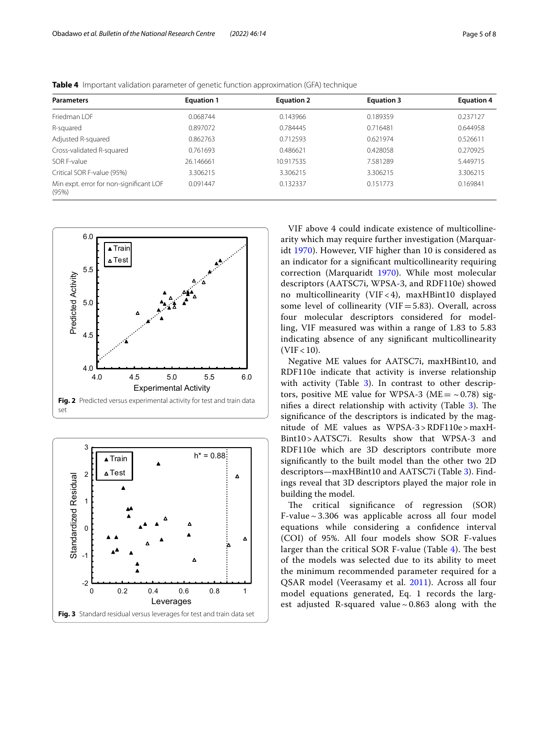| <b>Parameters</b>                                | <b>Equation 1</b> | <b>Equation 2</b> | <b>Equation 3</b> | <b>Equation 4</b> |
|--------------------------------------------------|-------------------|-------------------|-------------------|-------------------|
| Friedman LOF                                     | 0.068744          | 0.143966          | 0.189359          | 0.237127          |
| R-squared                                        | 0.897072          | 0.784445          | 0.716481          | 0.644958          |
| Adjusted R-squared                               | 0.862763          | 0.712593          | 0.621974          | 0.526611          |
| Cross-validated R-squared                        | 0.761693          | 0.486621          | 0.428058          | 0.270925          |
| SOR E-value                                      | 26.146661         | 10.917535         | 7.581289          | 5.449715          |
| Critical SOR F-value (95%)                       | 3.306215          | 3.306215          | 3.306215          | 3.306215          |
| Min expt. error for non-significant LOF<br>(95%) | 0.091447          | 0.132337          | 0.151773          | 0.169841          |

<span id="page-4-1"></span>**Table 4** Important validation parameter of genetic function approximation (GFA) technique



<span id="page-4-2"></span><span id="page-4-0"></span>

VIF above 4 could indicate existence of multicollinearity which may require further investigation (Marquaridt [1970](#page-7-12)). However, VIF higher than 10 is considered as an indicator for a signifcant multicollinearity requiring correction (Marquaridt [1970\)](#page-7-12). While most molecular descriptors (AATSC7i, WPSA-3, and RDF110e) showed no multicollinearity (VIF < 4), maxHBint10 displayed some level of collinearity (VIF=5.83). Overall, across four molecular descriptors considered for modelling, VIF measured was within a range of 1.83 to 5.83 indicating absence of any signifcant multicollinearity  $(VIF < 10)$ .

Negative ME values for AATSC7i, maxHBint10, and RDF110e indicate that activity is inverse relationship with activity (Table  $3$ ). In contrast to other descriptors, positive ME value for WPSA-3 (ME =  $\sim$  0.78) signifies a direct relationship with activity (Table  $3$ ). The signifcance of the descriptors is indicated by the magnitude of ME values as WPSA-3>RDF110e>maxH-Bint10>AATSC7i. Results show that WPSA-3 and RDF110e which are 3D descriptors contribute more signifcantly to the built model than the other two 2D descriptors—maxHBint10 and AATSC7i (Table [3](#page-3-0)). Findings reveal that 3D descriptors played the major role in building the model.

The critical significance of regression (SOR) F-value  $\sim$  3.306 was applicable across all four model equations while considering a confdence interval (COI) of 95%. All four models show SOR F-values larger than the critical SOR F-value (Table  $4$ ). The best of the models was selected due to its ability to meet the minimum recommended parameter required for a QSAR model (Veerasamy et al. [2011\)](#page-7-13). Across all four model equations generated, Eq. 1 records the largest adjusted R-squared value  $\sim 0.863$  along with the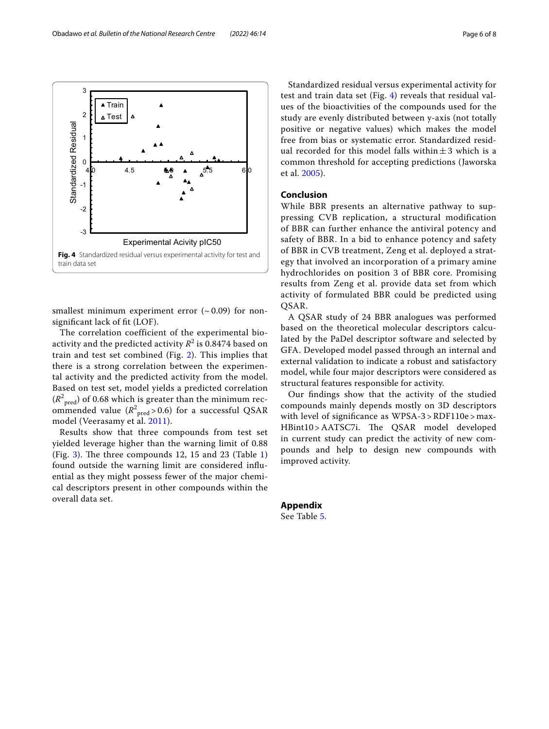<span id="page-5-0"></span>smallest minimum experiment error  $({\sim}0.09)$  for nonsignifcant lack of ft (LOF).

The correlation coefficient of the experimental bioactivity and the predicted activity  $R^2$  is 0.8474 based on train and test set combined (Fig. [2\)](#page-4-2). This implies that there is a strong correlation between the experimental activity and the predicted activity from the model. Based on test set, model yields a predicted correlation  $(R^2_{\text{pred}})$  of 0.68 which is greater than the minimum recommended value  $(R^2_{\text{pred}} > 0.6)$  for a successful QSAR model (Veerasamy et al. [2011](#page-7-13)).

Results show that three compounds from test set yielded leverage higher than the warning limit of 0.88 (Fig. [3\)](#page-4-0). The three compounds [1](#page-2-0)2, 15 and 23 (Table 1) found outside the warning limit are considered infuential as they might possess fewer of the major chemical descriptors present in other compounds within the overall data set.

Standardized residual versus experimental activity for test and train data set (Fig. [4\)](#page-5-0) reveals that residual values of the bioactivities of the compounds used for the study are evenly distributed between y-axis (not totally positive or negative values) which makes the model free from bias or systematic error. Standardized residual recorded for this model falls within $\pm 3$  which is a common threshold for accepting predictions (Jaworska et al. [2005\)](#page-7-14).

## **Conclusion**

While BBR presents an alternative pathway to suppressing CVB replication, a structural modification of BBR can further enhance the antiviral potency and safety of BBR. In a bid to enhance potency and safety of BBR in CVB treatment, Zeng et al. deployed a strategy that involved an incorporation of a primary amine hydrochlorides on position 3 of BBR core. Promising results from Zeng et al. provide data set from which activity of formulated BBR could be predicted using QSAR.

A QSAR study of 24 BBR analogues was performed based on the theoretical molecular descriptors calculated by the PaDel descriptor software and selected by GFA. Developed model passed through an internal and external validation to indicate a robust and satisfactory model, while four major descriptors were considered as structural features responsible for activity.

Our fndings show that the activity of the studied compounds mainly depends mostly on 3D descriptors with level of significance as WPSA-3 > RDF110e > max-HBint10 > AATSC7i. The QSAR model developed in current study can predict the activity of new compounds and help to design new compounds with improved activity.

**Appendix** See Table [5](#page-6-0).

Obadawo *et al. Bulletin of the National Research Centre (2022) 46:14* Page 6 of 8

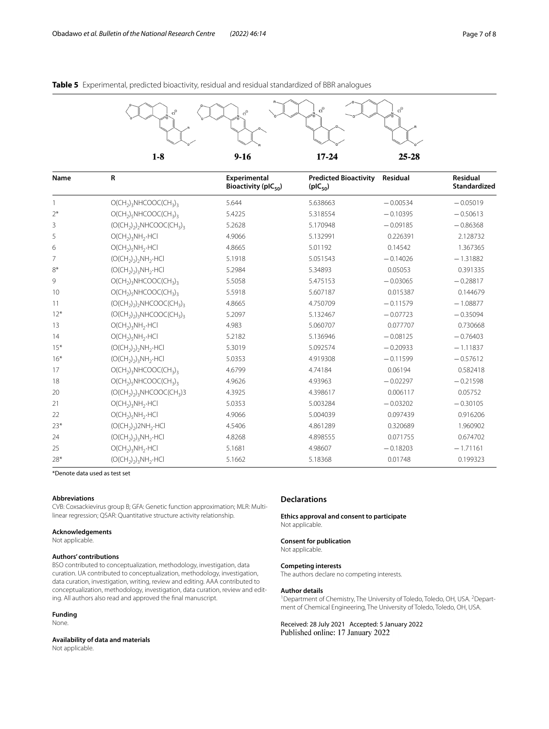<span id="page-6-0"></span>

| Name           | $\mathsf R$                                                      | Experimental<br>Bioactivity (pIC $_{50}$ ) | <b>Predicted Bioactivity</b><br>$(pIC_{50})$ | Residual   | Residual<br>Standardized |
|----------------|------------------------------------------------------------------|--------------------------------------------|----------------------------------------------|------------|--------------------------|
| $\mathbf{1}$   | $O(CH_2)_3NHCOOC(CH_3)_3$                                        | 5.644                                      | 5.638663                                     | $-0.00534$ | $-0.05019$               |
| $2*$           | $O(CH_2)_c$ NHCOOC(CH <sub>3</sub> ) <sub>3</sub>                | 5.4225                                     | 5.318554                                     | $-0.10395$ | $-0.50613$               |
| 3              | $(O(CH_2)_2)$ <sub>2</sub> NHCOOC(CH <sub>3</sub> ) <sub>3</sub> | 5.2628                                     | 5.170948                                     | $-0.09185$ | $-0.86368$               |
| 5              | $O(CH_2)_3NH_2$ -HCl                                             | 4.9066                                     | 5.132991                                     | 0.226391   | 2.128732                 |
| 6              | $O(CH_2)_5NH_2 \cdot HCl$                                        | 4.8665                                     | 5.01192                                      | 0.14542    | 1.367365                 |
| $\overline{7}$ | $(O(CH_2)_2)$ , NH <sub>2</sub> .HCl                             | 5.1918                                     | 5.051543                                     | $-0.14026$ | $-1.31882$               |
| $8*$           | $(O(CH_2)_2)_3NH_2$ -HCl                                         | 5.2984                                     | 5.34893                                      | 0.05053    | 0.391335                 |
| 9              | $O(CH_2)_3NHCOOC(CH_3)_3$                                        | 5.5058                                     | 5.475153                                     | $-0.03065$ | $-0.28817$               |
| 10             | $O(CH_2)_5$ NHCOOC(CH <sub>3</sub> ) <sub>3</sub>                | 5.5918                                     | 5.607187                                     | 0.015387   | 0.144679                 |
| 11             | $(O(CH_2)_2)$ <sub>2</sub> NHCOOC(CH <sub>3</sub> ) <sub>3</sub> | 4.8665                                     | 4.750709                                     | $-0.11579$ | $-1.08877$               |
| $12*$          | $(O(CH2)2)3NHCOOC(CH3)3$                                         | 5.2097                                     | 5.132467                                     | $-0.07723$ | $-0.35094$               |
| 13             | $O(CH_2)_3NH_2 \cdot HCl$                                        | 4.983                                      | 5.060707                                     | 0.077707   | 0.730668                 |
| 14             | $O(CH_2)_5NH_2$ -HCl                                             | 5.2182                                     | 5.136946                                     | $-0.08125$ | $-0.76403$               |
| $15*$          | $(O(CH_2)_2)$ , NH <sub>2</sub> .HCl                             | 5.3019                                     | 5.092574                                     | $-0.20933$ | $-1.11837$               |
| $16*$          | $(O(CH_2)_2)_3NH_2 \cdot HCl$                                    | 5.0353                                     | 4.919308                                     | $-0.11599$ | $-0.57612$               |
| 17             | $O(CH_2)_3NHCOOC(CH_3)_3$                                        | 4.6799                                     | 4.74184                                      | 0.06194    | 0.582418                 |
| 18             | $O(CH_2)_c$ NHCOOC(CH <sub>3</sub> ) <sub>3</sub>                | 4.9626                                     | 4.93963                                      | $-0.02297$ | $-0.21598$               |
| 20             | $(O(CH_2)_2)_3NHCOOC(CH_3)3$                                     | 4.3925                                     | 4.398617                                     | 0.006117   | 0.05752                  |
| 21             | $O(CH_2)_3NH_2$ -HCl                                             | 5.0353                                     | 5.003284                                     | $-0.03202$ | $-0.30105$               |
| 22             | $O(CH_2)_5NH_2$ .HCI                                             | 4.9066                                     | 5.004039                                     | 0.097439   | 0.916206                 |
| $23*$          | $(O(CH_2)_2)$ 2NH <sub>2</sub> .HCl                              | 4.5406                                     | 4.861289                                     | 0.320689   | 1.960902                 |
| 24             | $(O(CH_2)_2)$ <sub>3</sub> NH <sub>2</sub> ·HCl                  | 4.8268                                     | 4.898555                                     | 0.071755   | 0.674702                 |
| 25             | $O(CH_2)_3NH_2$ -HCl                                             | 5.1681                                     | 4.98607                                      | $-0.18203$ | $-1.71161$               |
| $28*$          | $(O(CH_2)_2)$ <sub>3</sub> NH <sub>2</sub> .HCl                  | 5.1662                                     | 5.18368                                      | 0.01748    | 0.199323                 |

\*Denote data used as test set

#### **Abbreviations**

CVB: Coxsackievirus group B; GFA: Genetic function approximation; MLR: Multilinear regression; QSAR: Quantitative structure activity relationship.

#### **Acknowledgements**

Not applicable.

#### **Authors' contributions**

BSO contributed to conceptualization, methodology, investigation, data curation. UA contributed to conceptualization, methodology, investigation, data curation, investigation, writing, review and editing. AAA contributed to conceptualization, methodology, investigation, data curation, review and editing. All authors also read and approved the fnal manuscript.

#### **Funding**

None.

**Availability of data and materials** Not applicable.

**Declarations**

**Ethics approval and consent to participate** Not applicable.

#### **Consent for publication**

Not applicable.

#### **Competing interests**

The authors declare no competing interests.

#### **Author details**

<sup>1</sup> Department of Chemistry, The University of Toledo, Toledo, OH, USA. <sup>2</sup> Department of Chemical Engineering, The University of Toledo, Toledo, OH, USA.

Received: 28 July 2021 Accepted: 5 January 2022<br>Published online: 17 January 2022